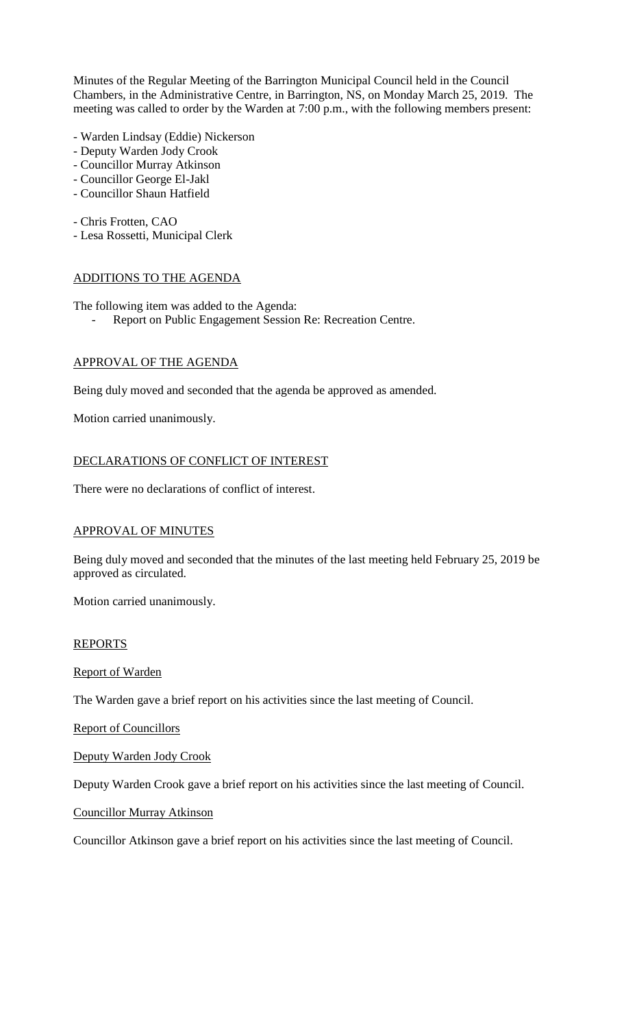Minutes of the Regular Meeting of the Barrington Municipal Council held in the Council Chambers, in the Administrative Centre, in Barrington, NS, on Monday March 25, 2019. The meeting was called to order by the Warden at 7:00 p.m., with the following members present:

- Warden Lindsay (Eddie) Nickerson
- Deputy Warden Jody Crook
- Councillor Murray Atkinson
- Councillor George El-Jakl
- Councillor Shaun Hatfield

- Chris Frotten, CAO

- Lesa Rossetti, Municipal Clerk

## ADDITIONS TO THE AGENDA

The following item was added to the Agenda:

Report on Public Engagement Session Re: Recreation Centre.

## APPROVAL OF THE AGENDA

Being duly moved and seconded that the agenda be approved as amended.

Motion carried unanimously.

## DECLARATIONS OF CONFLICT OF INTEREST

There were no declarations of conflict of interest.

## APPROVAL OF MINUTES

Being duly moved and seconded that the minutes of the last meeting held February 25, 2019 be approved as circulated.

Motion carried unanimously.

## REPORTS

Report of Warden

The Warden gave a brief report on his activities since the last meeting of Council.

Report of Councillors

Deputy Warden Jody Crook

Deputy Warden Crook gave a brief report on his activities since the last meeting of Council.

Councillor Murray Atkinson

Councillor Atkinson gave a brief report on his activities since the last meeting of Council.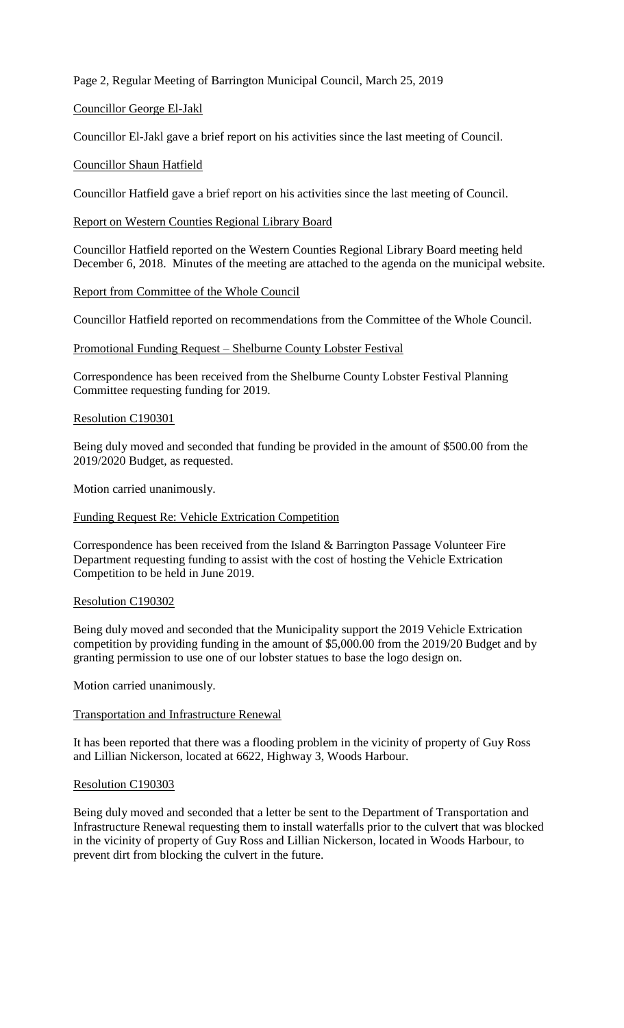Page 2, Regular Meeting of Barrington Municipal Council, March 25, 2019

## Councillor George El-Jakl

Councillor El-Jakl gave a brief report on his activities since the last meeting of Council.

## Councillor Shaun Hatfield

Councillor Hatfield gave a brief report on his activities since the last meeting of Council.

Report on Western Counties Regional Library Board

Councillor Hatfield reported on the Western Counties Regional Library Board meeting held December 6, 2018. Minutes of the meeting are attached to the agenda on the municipal website.

## Report from Committee of the Whole Council

Councillor Hatfield reported on recommendations from the Committee of the Whole Council.

Promotional Funding Request – Shelburne County Lobster Festival

Correspondence has been received from the Shelburne County Lobster Festival Planning Committee requesting funding for 2019.

## Resolution C190301

Being duly moved and seconded that funding be provided in the amount of \$500.00 from the 2019/2020 Budget, as requested.

Motion carried unanimously.

### Funding Request Re: Vehicle Extrication Competition

Correspondence has been received from the Island & Barrington Passage Volunteer Fire Department requesting funding to assist with the cost of hosting the Vehicle Extrication Competition to be held in June 2019.

## Resolution C190302

Being duly moved and seconded that the Municipality support the 2019 Vehicle Extrication competition by providing funding in the amount of \$5,000.00 from the 2019/20 Budget and by granting permission to use one of our lobster statues to base the logo design on.

Motion carried unanimously.

## Transportation and Infrastructure Renewal

It has been reported that there was a flooding problem in the vicinity of property of Guy Ross and Lillian Nickerson, located at 6622, Highway 3, Woods Harbour.

#### Resolution C190303

Being duly moved and seconded that a letter be sent to the Department of Transportation and Infrastructure Renewal requesting them to install waterfalls prior to the culvert that was blocked in the vicinity of property of Guy Ross and Lillian Nickerson, located in Woods Harbour, to prevent dirt from blocking the culvert in the future.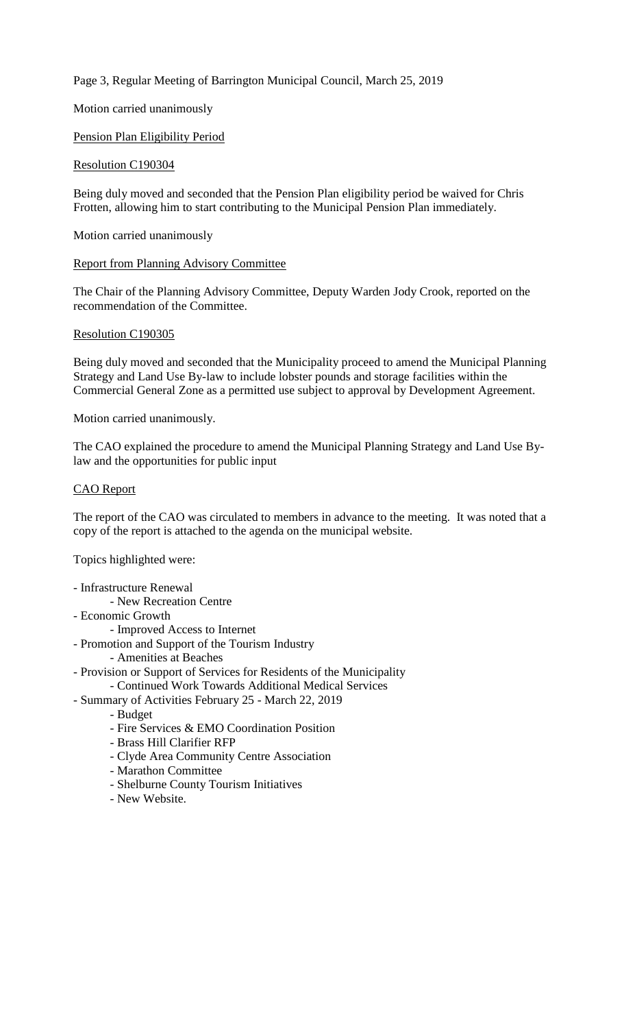Page 3, Regular Meeting of Barrington Municipal Council, March 25, 2019

Motion carried unanimously

## Pension Plan Eligibility Period

## Resolution C190304

Being duly moved and seconded that the Pension Plan eligibility period be waived for Chris Frotten, allowing him to start contributing to the Municipal Pension Plan immediately.

Motion carried unanimously

#### Report from Planning Advisory Committee

The Chair of the Planning Advisory Committee, Deputy Warden Jody Crook, reported on the recommendation of the Committee.

#### Resolution C190305

Being duly moved and seconded that the Municipality proceed to amend the Municipal Planning Strategy and Land Use By-law to include lobster pounds and storage facilities within the Commercial General Zone as a permitted use subject to approval by Development Agreement.

#### Motion carried unanimously.

The CAO explained the procedure to amend the Municipal Planning Strategy and Land Use Bylaw and the opportunities for public input

#### CAO Report

The report of the CAO was circulated to members in advance to the meeting. It was noted that a copy of the report is attached to the agenda on the municipal website.

Topics highlighted were:

- Infrastructure Renewal
	- New Recreation Centre
- Economic Growth
	- Improved Access to Internet
- Promotion and Support of the Tourism Industry
- Amenities at Beaches
- Provision or Support of Services for Residents of the Municipality
- Continued Work Towards Additional Medical Services
- Summary of Activities February 25 March 22, 2019
	- Budget
	- Fire Services & EMO Coordination Position
	- Brass Hill Clarifier RFP
	- Clyde Area Community Centre Association
	- Marathon Committee
	- Shelburne County Tourism Initiatives
	- New Website.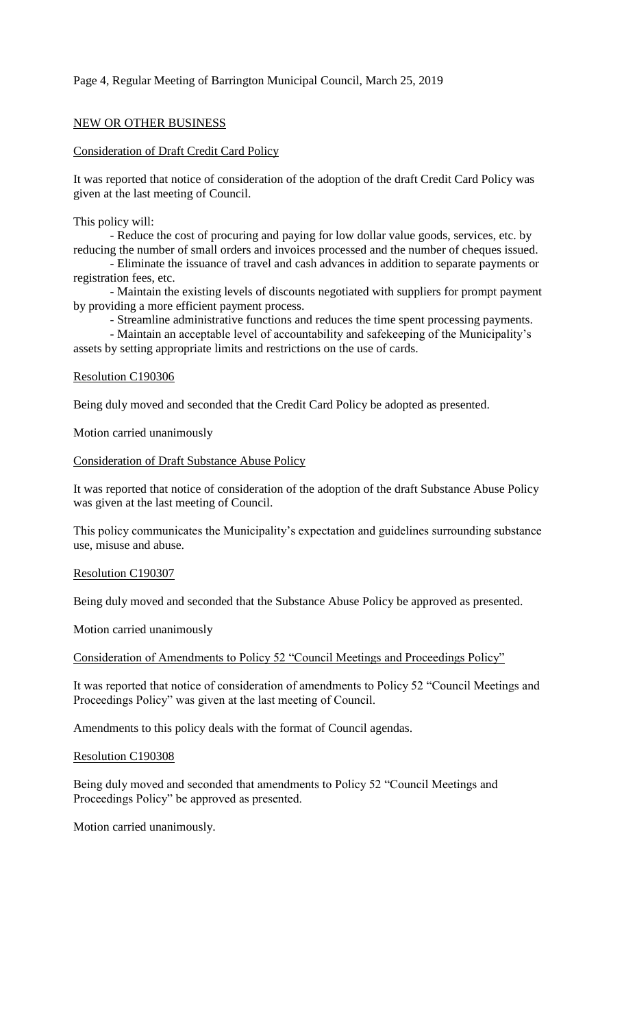## Page 4, Regular Meeting of Barrington Municipal Council, March 25, 2019

## NEW OR OTHER BUSINESS

## Consideration of Draft Credit Card Policy

It was reported that notice of consideration of the adoption of the draft Credit Card Policy was given at the last meeting of Council.

This policy will:

- Reduce the cost of procuring and paying for low dollar value goods, services, etc. by reducing the number of small orders and invoices processed and the number of cheques issued.

- Eliminate the issuance of travel and cash advances in addition to separate payments or registration fees, etc.

- Maintain the existing levels of discounts negotiated with suppliers for prompt payment by providing a more efficient payment process.

- Streamline administrative functions and reduces the time spent processing payments.

- Maintain an acceptable level of accountability and safekeeping of the Municipality's assets by setting appropriate limits and restrictions on the use of cards.

### Resolution C190306

Being duly moved and seconded that the Credit Card Policy be adopted as presented.

Motion carried unanimously

#### Consideration of Draft Substance Abuse Policy

It was reported that notice of consideration of the adoption of the draft Substance Abuse Policy was given at the last meeting of Council.

This policy communicates the Municipality's expectation and guidelines surrounding substance use, misuse and abuse.

## Resolution C190307

Being duly moved and seconded that the Substance Abuse Policy be approved as presented.

Motion carried unanimously

Consideration of Amendments to Policy 52 "Council Meetings and Proceedings Policy"

It was reported that notice of consideration of amendments to Policy 52 "Council Meetings and Proceedings Policy" was given at the last meeting of Council.

Amendments to this policy deals with the format of Council agendas.

#### Resolution C190308

Being duly moved and seconded that amendments to Policy 52 "Council Meetings and Proceedings Policy" be approved as presented.

Motion carried unanimously.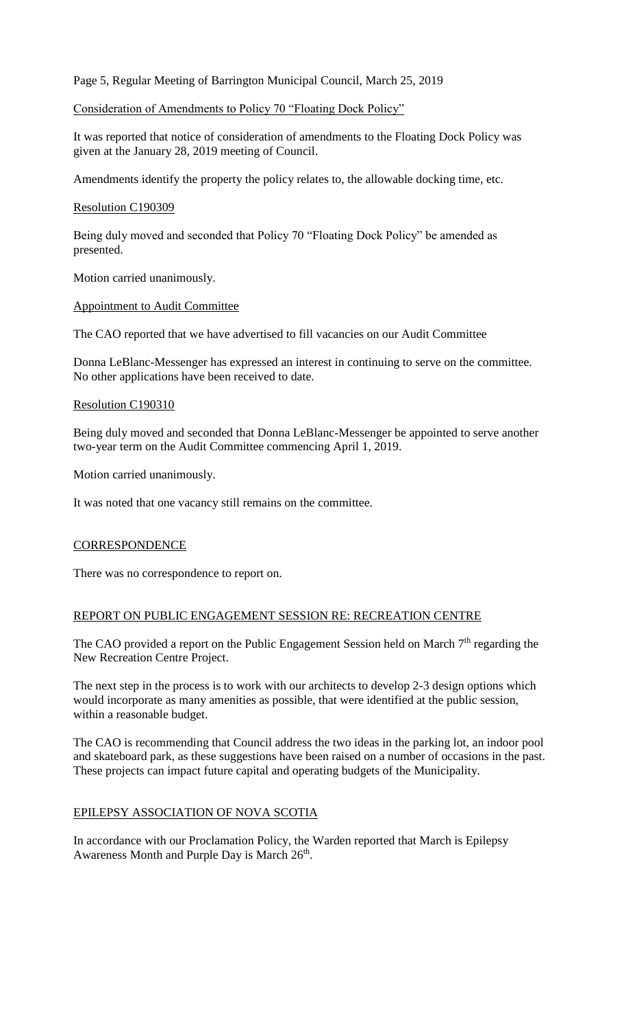Page 5, Regular Meeting of Barrington Municipal Council, March 25, 2019

## Consideration of Amendments to Policy 70 "Floating Dock Policy"

It was reported that notice of consideration of amendments to the Floating Dock Policy was given at the January 28, 2019 meeting of Council.

Amendments identify the property the policy relates to, the allowable docking time, etc.

## Resolution C190309

Being duly moved and seconded that Policy 70 "Floating Dock Policy" be amended as presented.

Motion carried unanimously.

Appointment to Audit Committee

The CAO reported that we have advertised to fill vacancies on our Audit Committee

Donna LeBlanc-Messenger has expressed an interest in continuing to serve on the committee. No other applications have been received to date.

## Resolution C190310

Being duly moved and seconded that Donna LeBlanc-Messenger be appointed to serve another two-year term on the Audit Committee commencing April 1, 2019.

Motion carried unanimously.

It was noted that one vacancy still remains on the committee.

## **CORRESPONDENCE**

There was no correspondence to report on.

## REPORT ON PUBLIC ENGAGEMENT SESSION RE: RECREATION CENTRE

The CAO provided a report on the Public Engagement Session held on March  $7<sup>th</sup>$  regarding the New Recreation Centre Project.

The next step in the process is to work with our architects to develop 2-3 design options which would incorporate as many amenities as possible, that were identified at the public session, within a reasonable budget.

The CAO is recommending that Council address the two ideas in the parking lot, an indoor pool and skateboard park, as these suggestions have been raised on a number of occasions in the past. These projects can impact future capital and operating budgets of the Municipality.

# EPILEPSY ASSOCIATION OF NOVA SCOTIA

In accordance with our Proclamation Policy, the Warden reported that March is Epilepsy Awareness Month and Purple Day is March 26<sup>th</sup>.